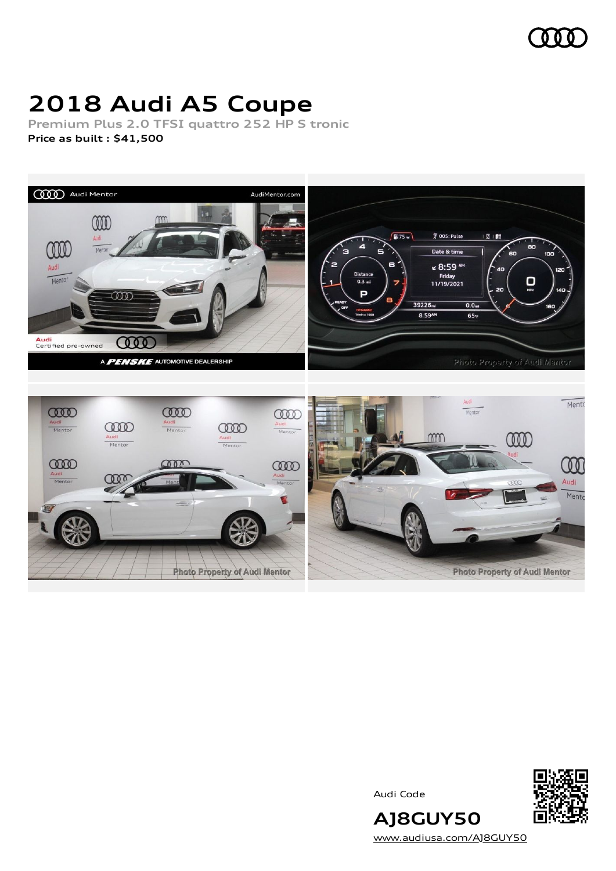

# **2018 Audi A5 Coupe**

**Premium Plus 2.0 TFSI quattro 252 HP S tronic Price as built [:](#page-7-0) \$41,500**



Audi Code



[www.audiusa.com/AJ8GUY50](https://www.audiusa.com/AJ8GUY50)

**AJ8GUY50**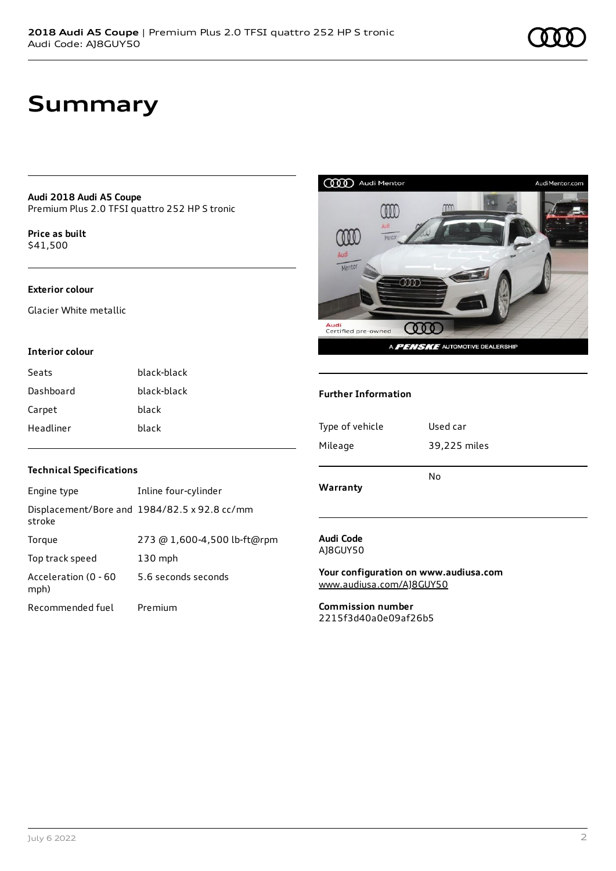**Audi 2018 Audi A5 Coupe** Premium Plus 2.0 TFSI quattro 252 HP S tronic

**Price as buil[t](#page-7-0)** \$41,500

#### **Exterior colour**

Glacier White metallic

#### **Interior colour**

| Seats     | black-black |
|-----------|-------------|
| Dashboard | black-black |
| Carpet    | black       |
| Headliner | black       |



#### **Further Information**

| Type of vehicle | Used car     |  |
|-----------------|--------------|--|
| Mileage         | 39,225 miles |  |
|                 | No           |  |
| Warranty        |              |  |
|                 |              |  |
| Audi Code       |              |  |

AJ8GUY50

**Your configuration on www.audiusa.com** [www.audiusa.com/AJ8GUY50](https://www.audiusa.com/AJ8GUY50)

**Commission number** 2215f3d40a0e09af26b5

#### **Technical Specifications**

| Engine type                  | Inline four-cylinder                         |
|------------------------------|----------------------------------------------|
| stroke                       | Displacement/Bore and 1984/82.5 x 92.8 cc/mm |
| Torque                       | 273 @ 1,600-4,500 lb-ft@rpm                  |
| Top track speed              | $130$ mph                                    |
| Acceleration (0 - 60<br>mph) | 5.6 seconds seconds                          |
| Recommended fuel             | Premium                                      |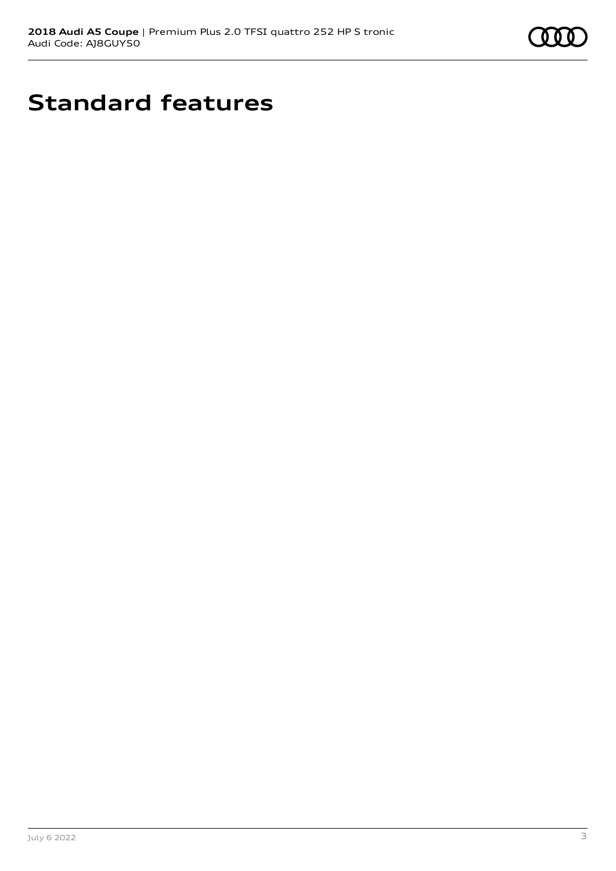

## **Standard features**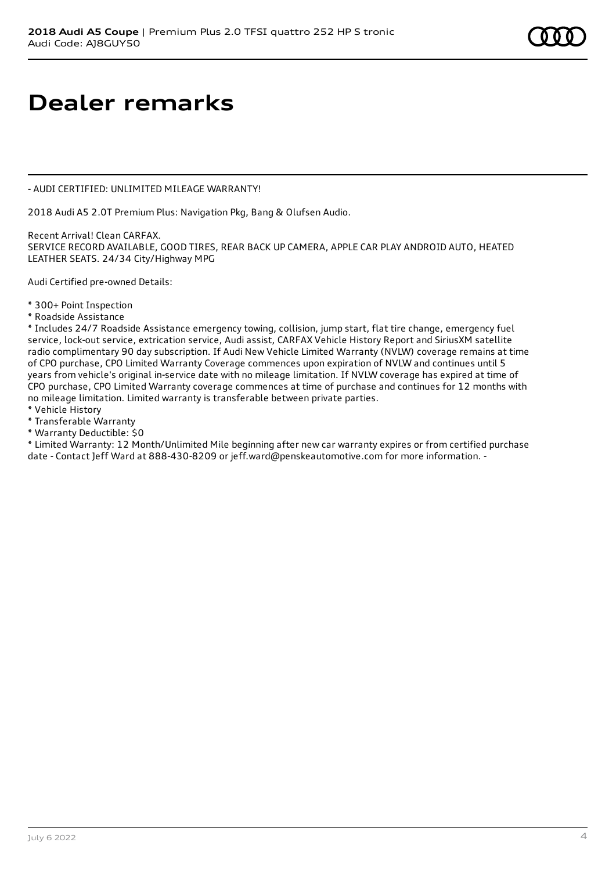## **Dealer remarks**

- AUDI CERTIFIED: UNLIMITED MILEAGE WARRANTY!

2018 Audi A5 2.0T Premium Plus: Navigation Pkg, Bang & Olufsen Audio.

Recent Arrival! Clean CARFAX. SERVICE RECORD AVAILABLE, GOOD TIRES, REAR BACK UP CAMERA, APPLE CAR PLAY ANDROID AUTO, HEATED LEATHER SEATS. 24/34 City/Highway MPG

Audi Certified pre-owned Details:

- \* 300+ Point Inspection
- \* Roadside Assistance

\* Includes 24/7 Roadside Assistance emergency towing, collision, jump start, flat tire change, emergency fuel service, lock-out service, extrication service, Audi assist, CARFAX Vehicle History Report and SiriusXM satellite radio complimentary 90 day subscription. If Audi New Vehicle Limited Warranty (NVLW) coverage remains at time of CPO purchase, CPO Limited Warranty Coverage commences upon expiration of NVLW and continues until 5 years from vehicle's original in-service date with no mileage limitation. If NVLW coverage has expired at time of CPO purchase, CPO Limited Warranty coverage commences at time of purchase and continues for 12 months with no mileage limitation. Limited warranty is transferable between private parties.

- \* Vehicle History
- \* Transferable Warranty
- \* Warranty Deductible: \$0

\* Limited Warranty: 12 Month/Unlimited Mile beginning after new car warranty expires or from certified purchase date - Contact Jeff Ward at 888-430-8209 or jeff.ward@penskeautomotive.com for more information. -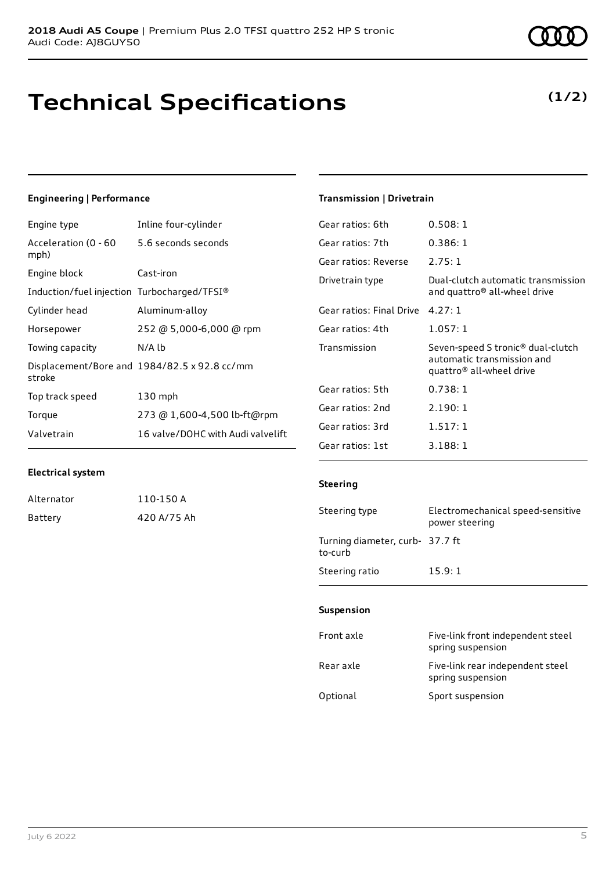### **Technical Specifications**

### **Engineering | Performance**

| Engine type                                 | Inline four-cylinder                         |
|---------------------------------------------|----------------------------------------------|
| Acceleration (0 - 60<br>mph)                | 5.6 seconds seconds                          |
| Engine block                                | Cast-iron                                    |
| Induction/fuel injection Turbocharged/TFSI® |                                              |
| Cylinder head                               | Aluminum-alloy                               |
| Horsepower                                  | 252 @ 5,000-6,000 @ rpm                      |
| Towing capacity                             | $N/A$ $Ib$                                   |
| stroke                                      | Displacement/Bore and 1984/82.5 x 92.8 cc/mm |
| Top track speed                             | $130$ mph                                    |
| Torque                                      | 273 @ 1,600-4,500 lb-ft@rpm                  |
| Valvetrain                                  | 16 valve/DOHC with Audi valvelift            |

#### **Transmission | Drivetrain**

| Gear ratios: 6th         | 0.508:1                                                                                     |
|--------------------------|---------------------------------------------------------------------------------------------|
| Gear ratios: 7th         | 0.386:1                                                                                     |
| Gear ratios: Reverse     | 2.75:1                                                                                      |
| Drivetrain type          | Dual-clutch automatic transmission<br>and quattro <sup>®</sup> all-wheel drive              |
| Gear ratios: Final Drive | 4.27:1                                                                                      |
| Gear ratios: 4th         | 1.057:1                                                                                     |
| Transmission             | Seven-speed S tronic® dual-clutch<br>automatic transmission and<br>quattro® all-wheel drive |
| Gear ratios: 5th         | 0.738:1                                                                                     |
| Gear ratios: 2nd         | 2.190:1                                                                                     |
| Gear ratios: 3rd         | 1.517:1                                                                                     |
| Gear ratios: 1st         |                                                                                             |

#### **Electrical system**

| Alternator | 110-150 A   |
|------------|-------------|
| Battery    | 420 A/75 Ah |

#### **Steering**

| Steering type                              | Electromechanical speed-sensitive<br>power steering |
|--------------------------------------------|-----------------------------------------------------|
| Turning diameter, curb- 37.7 ft<br>to-curb |                                                     |
| Steering ratio                             | 15.9:1                                              |

#### **Suspension**

| Front axle | Five-link front independent steel<br>spring suspension |
|------------|--------------------------------------------------------|
| Rear axle  | Five-link rear independent steel<br>spring suspension  |
| Optional   | Sport suspension                                       |

### **(1/2)**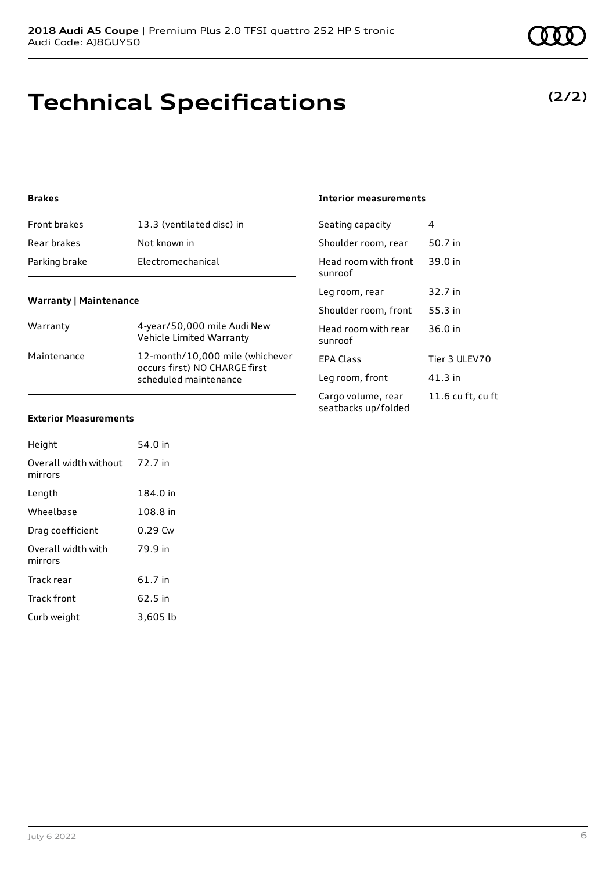## **Technical Specifications**

#### **Brakes**

| Front brakes  | 13.3 (ventilated disc) in |
|---------------|---------------------------|
| Rear brakes   | Not known in              |
| Parking brake | Electromechanical         |

#### **Warranty | Maintenance**

| Warranty    | 4-year/50,000 mile Audi New<br>Vehicle Limited Warranty                                   |
|-------------|-------------------------------------------------------------------------------------------|
| Maintenance | 12-month/10,000 mile (whichever<br>occurs first) NO CHARGE first<br>scheduled maintenance |

#### **Interior measurements**

| Seating capacity                          | 4                 |
|-------------------------------------------|-------------------|
| Shoulder room, rear                       | 50.7 in           |
| Head room with front<br>sunroof           | 39.0 in           |
| Leg room, rear                            | 32.7 in           |
| Shoulder room, front                      | 55.3 in           |
| Head room with rear<br>sunroof            | 36.0 in           |
| FPA Class                                 | Tier 3 ULEV70     |
| Leg room, front                           | 41.3 in           |
| Cargo volume, rear<br>seatbacks up/folded | 11.6 cu ft, cu ft |

#### **Exterior Measurements**

| Height                           | 54 0 in  |
|----------------------------------|----------|
| Overall width without<br>mirrors | 72.7 in  |
| Length                           | 184.0 in |
| Wheelbase                        | 108.8 in |
| Drag coefficient                 | 0.29 Cw  |
| Overall width with<br>mirrors    | 79.9 in  |
| Track rear                       | 61.7 in  |
| <b>Track front</b>               | 62.5 in  |
| Curb weight                      | 3.605 lb |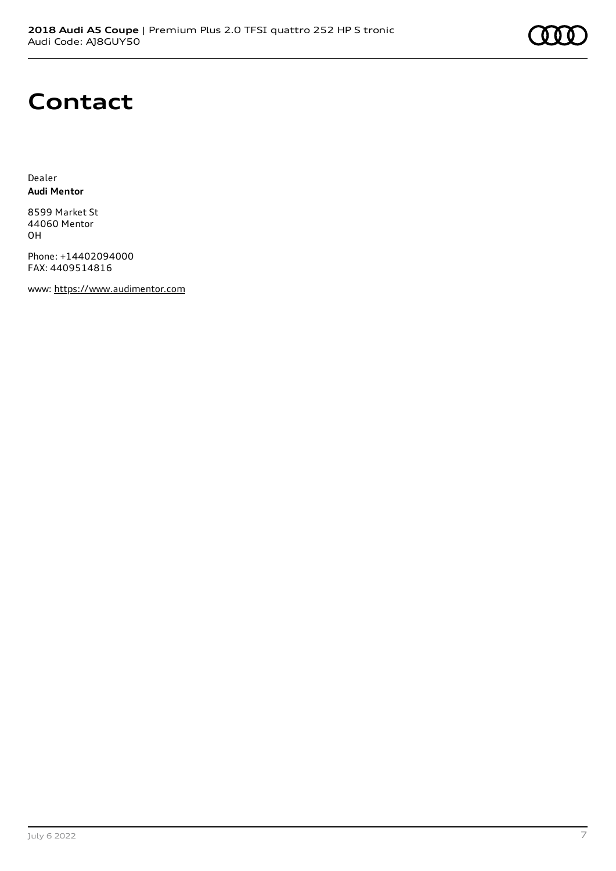# **Contact**

Dealer **Audi Mentor**

8599 Market St 44060 Mentor OH

Phone: +14402094000 FAX: 4409514816

www: [https://www.audimentor.com](https://www.audimentor.com/)